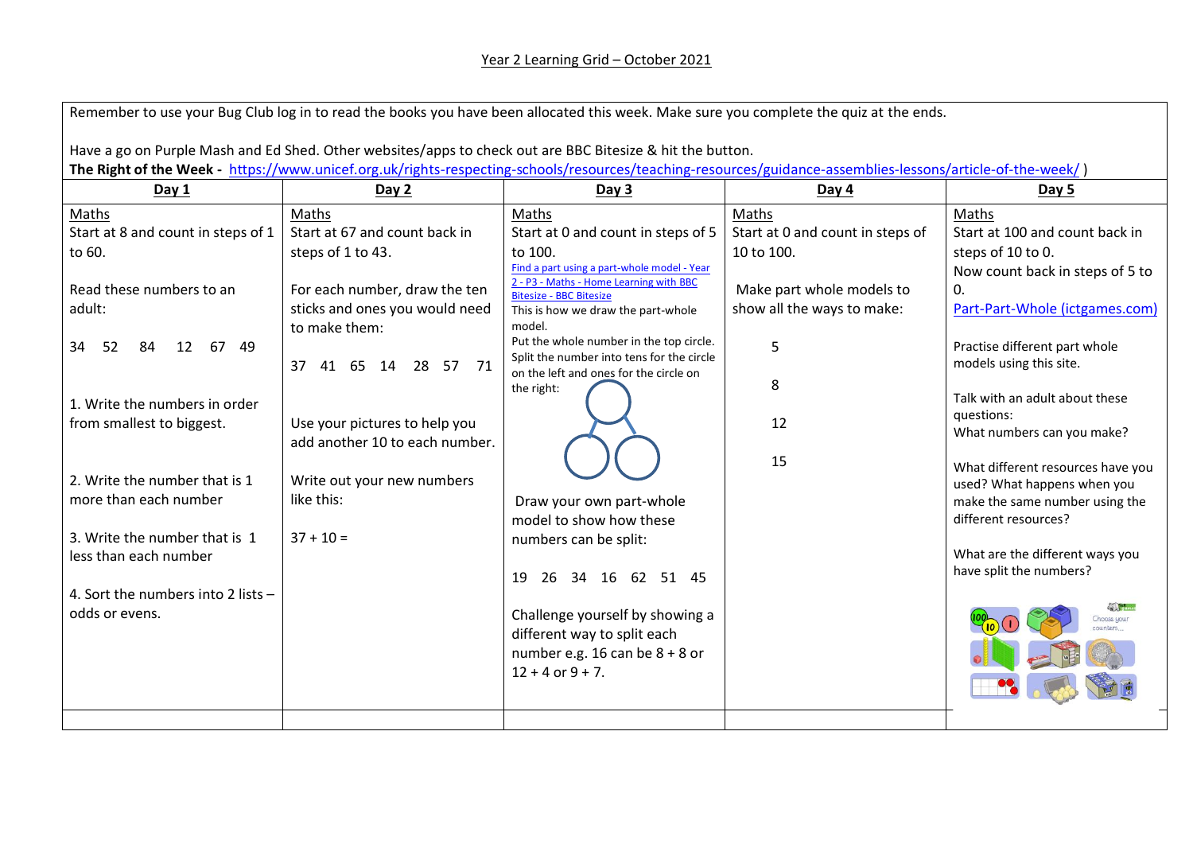| Remember to use your Bug Club log in to read the books you have been allocated this week. Make sure you complete the quiz at the ends.                     |                                |                                                                                        |                                  |                                   |  |  |  |  |
|------------------------------------------------------------------------------------------------------------------------------------------------------------|--------------------------------|----------------------------------------------------------------------------------------|----------------------------------|-----------------------------------|--|--|--|--|
| Have a go on Purple Mash and Ed Shed. Other websites/apps to check out are BBC Bitesize & hit the button.                                                  |                                |                                                                                        |                                  |                                   |  |  |  |  |
| The Right of the Week - https://www.unicef.org.uk/rights-respecting-schools/resources/teaching-resources/guidance-assemblies-lessons/article-of-the-week/) |                                |                                                                                        |                                  |                                   |  |  |  |  |
| Day 1                                                                                                                                                      | Day 2                          | Day 3                                                                                  | Day $4$                          | Day 5                             |  |  |  |  |
| Maths                                                                                                                                                      | Maths                          | Maths                                                                                  | Maths                            | Maths                             |  |  |  |  |
| Start at 8 and count in steps of 1                                                                                                                         | Start at 67 and count back in  | Start at 0 and count in steps of 5                                                     | Start at 0 and count in steps of | Start at 100 and count back in    |  |  |  |  |
| to 60.                                                                                                                                                     | steps of 1 to 43.              | to 100.                                                                                | 10 to 100.                       | steps of 10 to 0.                 |  |  |  |  |
|                                                                                                                                                            |                                | Find a part using a part-whole model - Year<br>2 - P3 - Maths - Home Learning with BBC |                                  | Now count back in steps of 5 to   |  |  |  |  |
| Read these numbers to an                                                                                                                                   | For each number, draw the ten  | <b>Bitesize - BBC Bitesize</b>                                                         | Make part whole models to        | 0.                                |  |  |  |  |
| adult:                                                                                                                                                     | sticks and ones you would need | This is how we draw the part-whole                                                     | show all the ways to make:       | Part-Part-Whole (ictgames.com)    |  |  |  |  |
|                                                                                                                                                            | to make them:                  | model.                                                                                 |                                  |                                   |  |  |  |  |
| 12 67 49<br>34<br>-52<br>84                                                                                                                                |                                | Put the whole number in the top circle.                                                | 5                                | Practise different part whole     |  |  |  |  |
|                                                                                                                                                            | 37 41 65 14 28 57 71           | Split the number into tens for the circle<br>on the left and ones for the circle on    |                                  | models using this site.           |  |  |  |  |
|                                                                                                                                                            |                                | the right:                                                                             | 8                                |                                   |  |  |  |  |
| 1. Write the numbers in order                                                                                                                              |                                |                                                                                        |                                  | Talk with an adult about these    |  |  |  |  |
| from smallest to biggest.                                                                                                                                  | Use your pictures to help you  |                                                                                        | 12                               | questions:                        |  |  |  |  |
|                                                                                                                                                            | add another 10 to each number. |                                                                                        |                                  | What numbers can you make?        |  |  |  |  |
|                                                                                                                                                            |                                |                                                                                        | 15                               | What different resources have you |  |  |  |  |
| 2. Write the number that is 1                                                                                                                              | Write out your new numbers     |                                                                                        |                                  | used? What happens when you       |  |  |  |  |
| more than each number                                                                                                                                      | like this:                     | Draw your own part-whole                                                               |                                  | make the same number using the    |  |  |  |  |
|                                                                                                                                                            |                                | model to show how these                                                                |                                  | different resources?              |  |  |  |  |
| 3. Write the number that is 1                                                                                                                              | $37 + 10 =$                    | numbers can be split:                                                                  |                                  |                                   |  |  |  |  |
| less than each number                                                                                                                                      |                                |                                                                                        |                                  | What are the different ways you   |  |  |  |  |
|                                                                                                                                                            |                                | 34 16 62 51 45<br>19<br>26                                                             |                                  | have split the numbers?           |  |  |  |  |
| 4. Sort the numbers into 2 lists -                                                                                                                         |                                |                                                                                        |                                  |                                   |  |  |  |  |
| odds or evens.                                                                                                                                             |                                | Challenge yourself by showing a                                                        |                                  | Choose your                       |  |  |  |  |
|                                                                                                                                                            |                                | different way to split each                                                            |                                  |                                   |  |  |  |  |
|                                                                                                                                                            |                                | number e.g. 16 can be $8 + 8$ or                                                       |                                  |                                   |  |  |  |  |
|                                                                                                                                                            |                                | $12 + 4$ or $9 + 7$ .                                                                  |                                  |                                   |  |  |  |  |
|                                                                                                                                                            |                                |                                                                                        |                                  |                                   |  |  |  |  |
|                                                                                                                                                            |                                |                                                                                        |                                  |                                   |  |  |  |  |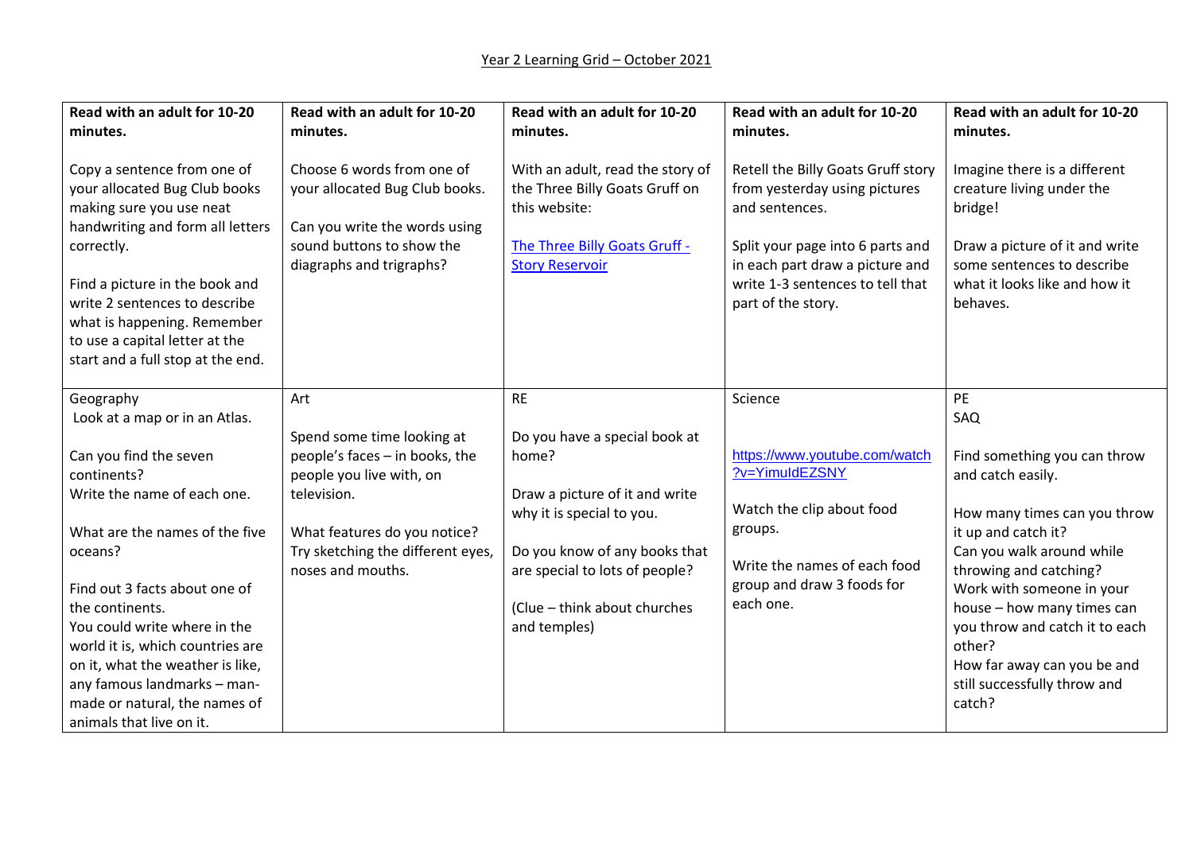| Read with an adult for 10-20<br>minutes.                                                                                                                                                                                                                                                                            | Read with an adult for 10-20<br>minutes.                                                                                                               | Read with an adult for 10-20<br>minutes.                                                                                                       | Read with an adult for 10-20<br>minutes.                                                                                                                                                                               | Read with an adult for 10-20<br>minutes.                                                                                                                                          |
|---------------------------------------------------------------------------------------------------------------------------------------------------------------------------------------------------------------------------------------------------------------------------------------------------------------------|--------------------------------------------------------------------------------------------------------------------------------------------------------|------------------------------------------------------------------------------------------------------------------------------------------------|------------------------------------------------------------------------------------------------------------------------------------------------------------------------------------------------------------------------|-----------------------------------------------------------------------------------------------------------------------------------------------------------------------------------|
| Copy a sentence from one of<br>your allocated Bug Club books<br>making sure you use neat<br>handwriting and form all letters<br>correctly.<br>Find a picture in the book and<br>write 2 sentences to describe<br>what is happening. Remember<br>to use a capital letter at the<br>start and a full stop at the end. | Choose 6 words from one of<br>your allocated Bug Club books.<br>Can you write the words using<br>sound buttons to show the<br>diagraphs and trigraphs? | With an adult, read the story of<br>the Three Billy Goats Gruff on<br>this website:<br>The Three Billy Goats Gruff -<br><b>Story Reservoir</b> | Retell the Billy Goats Gruff story<br>from yesterday using pictures<br>and sentences.<br>Split your page into 6 parts and<br>in each part draw a picture and<br>write 1-3 sentences to tell that<br>part of the story. | Imagine there is a different<br>creature living under the<br>bridge!<br>Draw a picture of it and write<br>some sentences to describe<br>what it looks like and how it<br>behaves. |
| Geography<br>Look at a map or in an Atlas.                                                                                                                                                                                                                                                                          | Art<br>Spend some time looking at                                                                                                                      | <b>RE</b><br>Do you have a special book at                                                                                                     | Science                                                                                                                                                                                                                | <b>PE</b><br>SAQ                                                                                                                                                                  |
| Can you find the seven<br>continents?                                                                                                                                                                                                                                                                               | people's faces - in books, the<br>people you live with, on                                                                                             | home?                                                                                                                                          | https://www.youtube.com/watch<br>?v=YimuldEZSNY                                                                                                                                                                        | Find something you can throw<br>and catch easily.                                                                                                                                 |
| Write the name of each one.<br>What are the names of the five                                                                                                                                                                                                                                                       | television.                                                                                                                                            | Draw a picture of it and write<br>why it is special to you.                                                                                    | Watch the clip about food<br>groups.                                                                                                                                                                                   | How many times can you throw                                                                                                                                                      |
| oceans?                                                                                                                                                                                                                                                                                                             | What features do you notice?<br>Try sketching the different eyes,<br>noses and mouths.                                                                 | Do you know of any books that<br>are special to lots of people?                                                                                | Write the names of each food                                                                                                                                                                                           | it up and catch it?<br>Can you walk around while<br>throwing and catching?                                                                                                        |
| Find out 3 facts about one of<br>the continents.<br>You could write where in the<br>world it is, which countries are<br>on it, what the weather is like,<br>any famous landmarks - man-<br>made or natural, the names of<br>animals that live on it.                                                                |                                                                                                                                                        | (Clue - think about churches<br>and temples)                                                                                                   | group and draw 3 foods for<br>each one.                                                                                                                                                                                | Work with someone in your<br>house - how many times can<br>you throw and catch it to each<br>other?<br>How far away can you be and<br>still successfully throw and<br>catch?      |